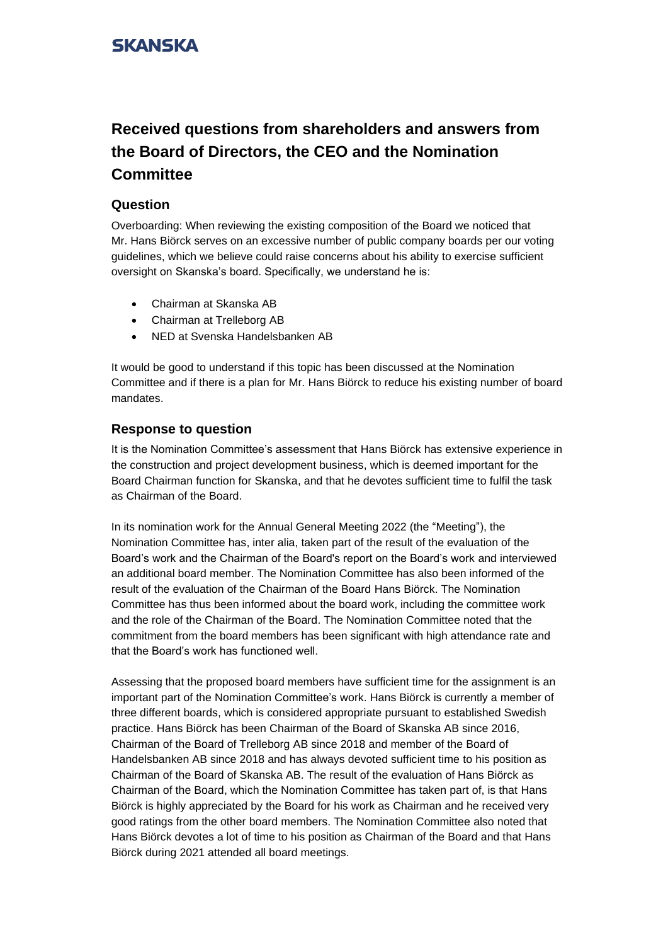## **SKANSKA**

# **Received questions from shareholders and answers from the Board of Directors, the CEO and the Nomination Committee**

#### **Question**

Overboarding: When reviewing the existing composition of the Board we noticed that Mr. Hans Biörck serves on an excessive number of public company boards per our voting guidelines, which we believe could raise concerns about his ability to exercise sufficient oversight on Skanska's board. Specifically, we understand he is:

- Chairman at Skanska AB
- Chairman at Trelleborg AB
- NED at Svenska Handelsbanken AB

It would be good to understand if this topic has been discussed at the Nomination Committee and if there is a plan for Mr. Hans Biörck to reduce his existing number of board mandates.

#### **Response to question**

It is the Nomination Committee's assessment that Hans Biörck has extensive experience in the construction and project development business, which is deemed important for the Board Chairman function for Skanska, and that he devotes sufficient time to fulfil the task as Chairman of the Board.

In its nomination work for the Annual General Meeting 2022 (the "Meeting"), the Nomination Committee has, inter alia, taken part of the result of the evaluation of the Board's work and the Chairman of the Board's report on the Board's work and interviewed an additional board member. The Nomination Committee has also been informed of the result of the evaluation of the Chairman of the Board Hans Biörck. The Nomination Committee has thus been informed about the board work, including the committee work and the role of the Chairman of the Board. The Nomination Committee noted that the commitment from the board members has been significant with high attendance rate and that the Board's work has functioned well.

Assessing that the proposed board members have sufficient time for the assignment is an important part of the Nomination Committee's work. Hans Biörck is currently a member of three different boards, which is considered appropriate pursuant to established Swedish practice. Hans Biörck has been Chairman of the Board of Skanska AB since 2016, Chairman of the Board of Trelleborg AB since 2018 and member of the Board of Handelsbanken AB since 2018 and has always devoted sufficient time to his position as Chairman of the Board of Skanska AB. The result of the evaluation of Hans Biörck as Chairman of the Board, which the Nomination Committee has taken part of, is that Hans Biörck is highly appreciated by the Board for his work as Chairman and he received very good ratings from the other board members. The Nomination Committee also noted that Hans Biörck devotes a lot of time to his position as Chairman of the Board and that Hans Biörck during 2021 attended all board meetings.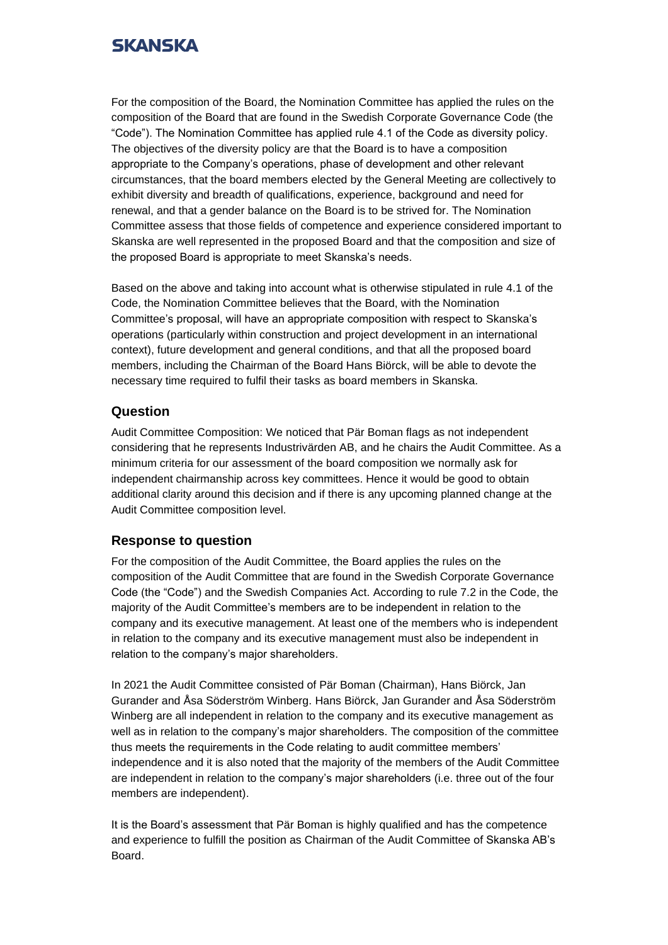## **SKANSKA**

For the composition of the Board, the Nomination Committee has applied the rules on the composition of the Board that are found in the Swedish Corporate Governance Code (the "Code"). The Nomination Committee has applied rule 4.1 of the Code as diversity policy. The objectives of the diversity policy are that the Board is to have a composition appropriate to the Company's operations, phase of development and other relevant circumstances, that the board members elected by the General Meeting are collectively to exhibit diversity and breadth of qualifications, experience, background and need for renewal, and that a gender balance on the Board is to be strived for. The Nomination Committee assess that those fields of competence and experience considered important to Skanska are well represented in the proposed Board and that the composition and size of the proposed Board is appropriate to meet Skanska's needs.

Based on the above and taking into account what is otherwise stipulated in rule 4.1 of the Code, the Nomination Committee believes that the Board, with the Nomination Committee's proposal, will have an appropriate composition with respect to Skanska's operations (particularly within construction and project development in an international context), future development and general conditions, and that all the proposed board members, including the Chairman of the Board Hans Biörck, will be able to devote the necessary time required to fulfil their tasks as board members in Skanska.

### **Question**

Audit Committee Composition: We noticed that Pär Boman flags as not independent considering that he represents Industrivärden AB, and he chairs the Audit Committee. As a minimum criteria for our assessment of the board composition we normally ask for independent chairmanship across key committees. Hence it would be good to obtain additional clarity around this decision and if there is any upcoming planned change at the Audit Committee composition level.

### **Response to question**

For the composition of the Audit Committee, the Board applies the rules on the composition of the Audit Committee that are found in the Swedish Corporate Governance Code (the "Code") and the Swedish Companies Act. According to rule 7.2 in the Code, the majority of the Audit Committee's members are to be independent in relation to the company and its executive management. At least one of the members who is independent in relation to the company and its executive management must also be independent in relation to the company's major shareholders.

In 2021 the Audit Committee consisted of Pär Boman (Chairman), Hans Biörck, Jan Gurander and Åsa Söderström Winberg. Hans Biörck, Jan Gurander and Åsa Söderström Winberg are all independent in relation to the company and its executive management as well as in relation to the company's major shareholders. The composition of the committee thus meets the requirements in the Code relating to audit committee members' independence and it is also noted that the majority of the members of the Audit Committee are independent in relation to the company's major shareholders (i.e. three out of the four members are independent).

It is the Board's assessment that Pär Boman is highly qualified and has the competence and experience to fulfill the position as Chairman of the Audit Committee of Skanska AB's Board.